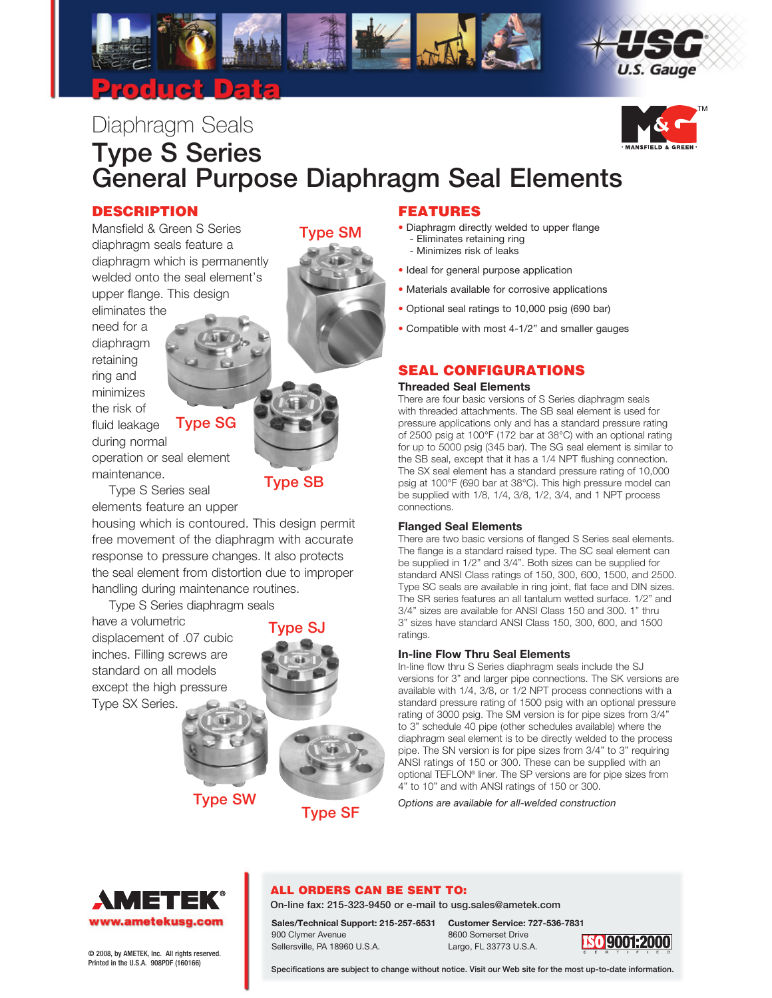

# Diaphragm Seals Type S Series General Purpose Diaphragm Seal Elements

Type SM

### DESCRIPTION

Mansfield & Green S Series diaphragm seals feature a diaphragm which is permanently welded onto the seal element's upper flange. This design

eliminates the need for a diaphragm retaining ring and minimizes the risk of fluid leakage during normal

# Type SG

operation or seal element maintenance.

Type S Series seal elements feature an upper

housing which is contoured. This design permit free movement of the diaphragm with accurate response to pressure changes. It also protects the seal element from distortion due to improper handling during maintenance routines.

Type S Series diaphragm seals

have a volumetric displacement of .07 cubic inches. Filling screws are standard on all models except the high pressure Type SX Series.



Type SB

Type SW<br>Type SF

### FEATURES

- Diaphragm directly welded to upper flange - Eliminates retaining ring
	- Minimizes risk of leaks
- Ideal for general purpose application
- Materials available for corrosive applications
- Optional seal ratings to 10,000 psig (690 bar)
- Compatible with most 4-1/2" and smaller gauges

# SEAL CONFIGURATIONS

#### **Threaded Seal Elements**

There are four basic versions of S Series diaphragm seals with threaded attachments. The SB seal element is used for pressure applications only and has a standard pressure rating of 2500 psig at 100°F (172 bar at 38°C) with an optional rating for up to 5000 psig (345 bar). The SG seal element is similar to the SB seal, except that it has a 1/4 NPT flushing connection. The SX seal element has a standard pressure rating of 10,000 psig at 100°F (690 bar at 38°C). This high pressure model can be supplied with 1/8, 1/4, 3/8, 1/2, 3/4, and 1 NPT process connections.

#### **Flanged Seal Elements**

There are two basic versions of flanged S Series seal elements. The flange is a standard raised type. The SC seal element can be supplied in 1/2" and 3/4". Both sizes can be supplied for standard ANSI Class ratings of 150, 300, 600, 1500, and 2500. Type SC seals are available in ring joint, flat face and DIN sizes. The SR series features an all tantalum wetted surface. 1/2" and 3/4" sizes are available for ANSI Class 150 and 300. 1" thru 3" sizes have standard ANSI Class 150, 300, 600, and 1500 ratings.

#### **In-line Flow Thru Seal Elements**

In-line flow thru S Series diaphragm seals include the SJ versions for 3" and larger pipe connections. The SK versions are available with 1/4, 3/8, or 1/2 NPT process connections with a standard pressure rating of 1500 psig with an optional pressure rating of 3000 psig. The SM version is for pipe sizes from 3/4" to 3" schedule 40 pipe (other schedules available) where the diaphragm seal element is to be directly welded to the process pipe. The SN version is for pipe sizes from 3/4" to 3" requiring ANSI ratings of 150 or 300. These can be supplied with an optional TEFLON® liner. The SP versions are for pipe sizes from 4" to 10" and with ANSI ratings of 150 or 300.

*Options are available for all-welded construction*



# ALL ORDERS CAN BE SENT TO:

On-line fax: 215-323-9450 or e-mail to usg.sales@ametek.com

900 Clymer Avenue 8600 Somerset Drive<br>
Sellersville, PA 18960 U.S.A. Largo, FL 33773 U.S. Sellersville, PA 18960 U.S.A. Largo, FL 33773 U.S.A. © 2008, by AMETEK, Inc. All rights reserved.

**Sales/Technical Support: 215-257-6531 Customer Service: 727-536-7831**



Printed in the U.S.A. 908PDF (160166)